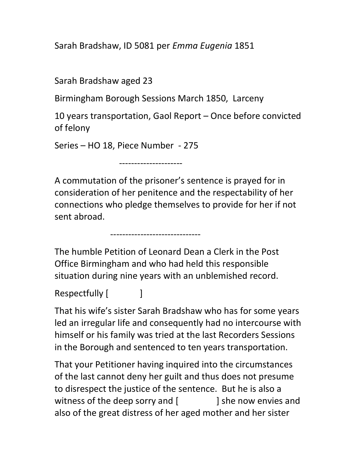Sarah Bradshaw, ID 5081 per Emma Eugenia 1851

Sarah Bradshaw aged 23

Birmingham Borough Sessions March 1850, Larceny

---------------------

10 years transportation, Gaol Report – Once before convicted of felony

Series – HO 18, Piece Number - 275

------------------------------

A commutation of the prisoner's sentence is prayed for in consideration of her penitence and the respectability of her connections who pledge themselves to provide for her if not sent abroad.

The humble Petition of Leonard Dean a Clerk in the Post Office Birmingham and who had held this responsible situation during nine years with an unblemished record.

```
Respectfully [ ]
```
That his wife's sister Sarah Bradshaw who has for some years led an irregular life and consequently had no intercourse with himself or his family was tried at the last Recorders Sessions in the Borough and sentenced to ten years transportation.

That your Petitioner having inquired into the circumstances of the last cannot deny her guilt and thus does not presume to disrespect the justice of the sentence. But he is also a witness of the deep sorry and  $\lceil$   $\rceil$  she now envies and also of the great distress of her aged mother and her sister